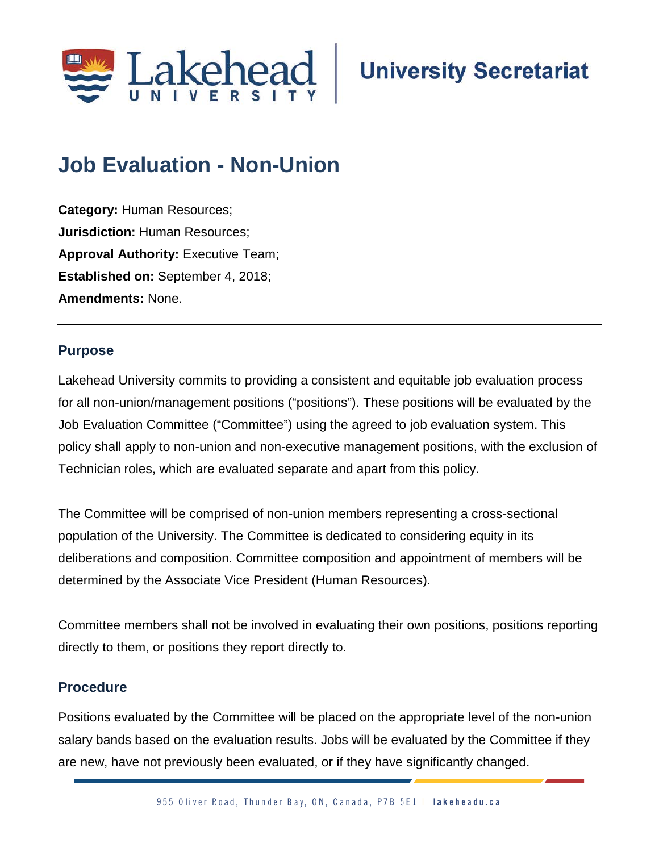

## **Job Evaluation - Non-Union**

**Category:** Human Resources; **Jurisdiction:** Human Resources; **Approval Authority: Executive Team; Established on:** September 4, 2018; **Amendments:** None.

## **Purpose**

Lakehead University commits to providing a consistent and equitable job evaluation process for all non-union/management positions ("positions"). These positions will be evaluated by the Job Evaluation Committee ("Committee") using the agreed to job evaluation system. This policy shall apply to non-union and non-executive management positions, with the exclusion of Technician roles, which are evaluated separate and apart from this policy.

The Committee will be comprised of non-union members representing a cross-sectional population of the University. The Committee is dedicated to considering equity in its deliberations and composition. Committee composition and appointment of members will be determined by the Associate Vice President (Human Resources).

Committee members shall not be involved in evaluating their own positions, positions reporting directly to them, or positions they report directly to.

## **Procedure**

Positions evaluated by the Committee will be placed on the appropriate level of the non-union salary bands based on the evaluation results. Jobs will be evaluated by the Committee if they are new, have not previously been evaluated, or if they have significantly changed.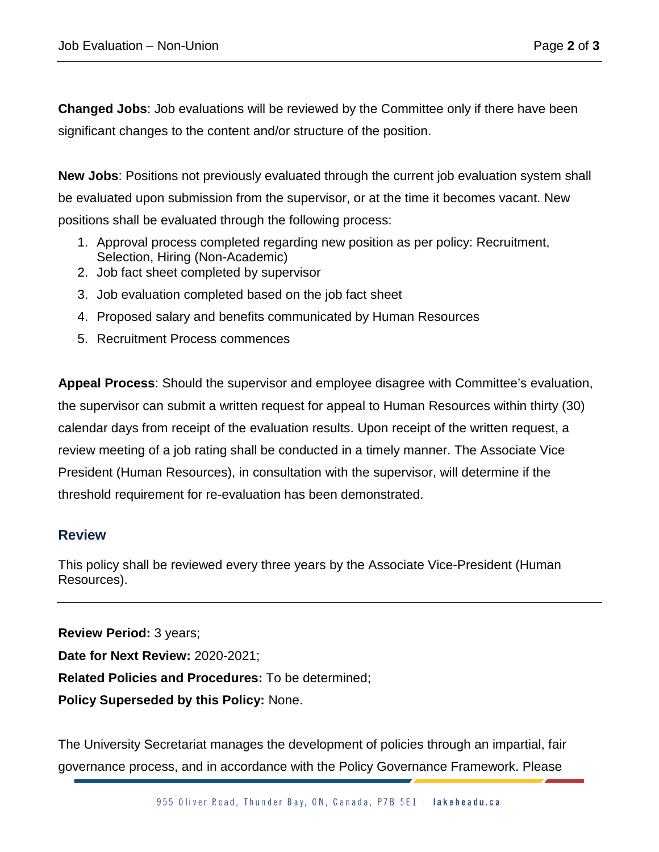**Changed Jobs**: Job evaluations will be reviewed by the Committee only if there have been significant changes to the content and/or structure of the position.

**New Jobs**: Positions not previously evaluated through the current job evaluation system shall be evaluated upon submission from the supervisor, or at the time it becomes vacant. New positions shall be evaluated through the following process:

- 1. Approval process completed regarding new position as per policy: Recruitment, Selection, Hiring (Non-Academic)
- 2. Job fact sheet completed by supervisor
- 3. Job evaluation completed based on the job fact sheet
- 4. Proposed salary and benefits communicated by Human Resources
- 5. Recruitment Process commences

**Appeal Process**: Should the supervisor and employee disagree with Committee's evaluation, the supervisor can submit a written request for appeal to Human Resources within thirty (30) calendar days from receipt of the evaluation results. Upon receipt of the written request, a review meeting of a job rating shall be conducted in a timely manner. The Associate Vice President (Human Resources), in consultation with the supervisor, will determine if the threshold requirement for re-evaluation has been demonstrated.

## **Review**

This policy shall be reviewed every three years by the Associate Vice-President (Human Resources).

**Review Period:** 3 years; **Date for Next Review:** 2020-2021; **Related Policies and Procedures:** To be determined; **Policy Superseded by this Policy:** None.

The University Secretariat manages the development of policies through an impartial, fair governance process, and in accordance with the Policy Governance Framework. Please